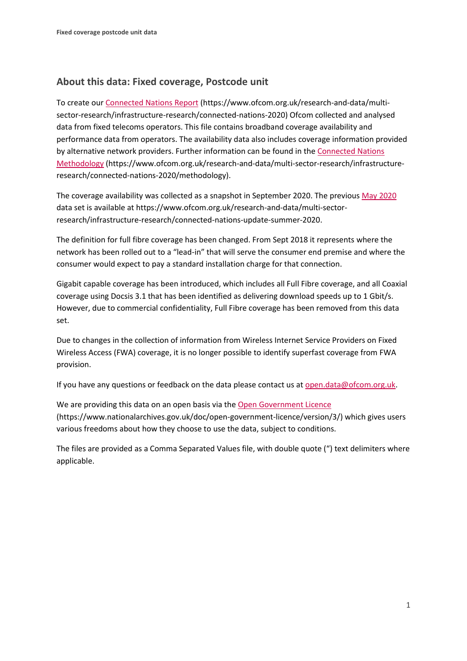## **About this data: Fixed coverage, Postcode unit**

To create ou[r Connected Nations Report](https://www.ofcom.org.uk/research-and-data/multi-sector-research/infrastructure-research/connected-nations-2020) (https://www.ofcom.org.uk/research-and-data/multisector-research/infrastructure-research/connected-nations-2020) Ofcom collected and analysed data from fixed telecoms operators. This file contains broadband coverage availability and performance data from operators. The availability data also includes coverage information provided by alternative network providers. Further information can be found in the [Connected Nations](https://www.ofcom.org.uk/research-and-data/multi-sector-research/infrastructure-research/connected-nations-2020/methodology)  [Methodology](https://www.ofcom.org.uk/research-and-data/multi-sector-research/infrastructure-research/connected-nations-2020/methodology) (https://www.ofcom.org.uk/research-and-data/multi-sector-research/infrastructureresearch/connected-nations-2020/methodology).

The coverage availability was collected as a snapshot in September 2020. The previous [May 2020](https://www.ofcom.org.uk/research-and-data/multi-sector-research/infrastructure-research/connected-nations-update-summer-2020) data set is available at https://www.ofcom.org.uk/research-and-data/multi-sectorresearch/infrastructure-research/connected-nations-update-summer-2020.

The definition for full fibre coverage has been changed. From Sept 2018 it represents where the network has been rolled out to a "lead-in" that will serve the consumer end premise and where the consumer would expect to pay a standard installation charge for that connection.

Gigabit capable coverage has been introduced, which includes all Full Fibre coverage, and all Coaxial coverage using Docsis 3.1 that has been identified as delivering download speeds up to 1 Gbit/s. However, due to commercial confidentiality, Full Fibre coverage has been removed from this data set.

Due to changes in the collection of information from Wireless Internet Service Providers on Fixed Wireless Access (FWA) coverage, it is no longer possible to identify superfast coverage from FWA provision.

If you have any questions or feedback on the data please contact us at [open.data@ofcom.org.uk.](mailto:open.data@ofcom.org.uk)

We are providing this data on an open basis via the [Open Government Licence](https://www.nationalarchives.gov.uk/doc/open-government-licence/version/3/) (https://www.nationalarchives.gov.uk/doc/open-government-licence/version/3/) which gives users various freedoms about how they choose to use the data, subject to conditions.

The files are provided as a Comma Separated Values file, with double quote (") text delimiters where applicable.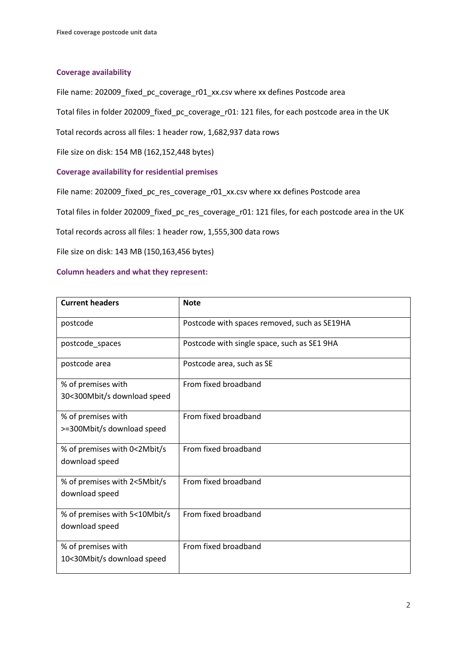## **Coverage availability**

File name: 202009 fixed pc coverage r01 xx.csv where xx defines Postcode area

Total files in folder 202009\_fixed\_pc\_coverage\_r01: 121 files, for each postcode area in the UK

Total records across all files: 1 header row, 1,682,937 data rows

File size on disk: 154 MB (162,152,448 bytes)

## **Coverage availability for residential premises**

File name: 202009\_fixed\_pc\_res\_coverage\_r01\_xx.csv where xx defines Postcode area

Total files in folder 202009\_fixed\_pc\_res\_coverage\_r01: 121 files, for each postcode area in the UK

Total records across all files: 1 header row, 1,555,300 data rows

File size on disk: 143 MB (150,163,456 bytes)

## **Column headers and what they represent:**

| <b>Current headers</b>                            | <b>Note</b>                                  |
|---------------------------------------------------|----------------------------------------------|
| postcode                                          | Postcode with spaces removed, such as SE19HA |
| postcode_spaces                                   | Postcode with single space, such as SE1 9HA  |
| postcode area                                     | Postcode area, such as SE                    |
| % of premises with<br>30<300Mbit/s download speed | From fixed broadband                         |
| % of premises with<br>>=300Mbit/s download speed  | From fixed broadband                         |
| % of premises with 0<2Mbit/s<br>download speed    | From fixed broadband                         |
| % of premises with 2<5Mbit/s<br>download speed    | From fixed broadband                         |
| % of premises with 5<10Mbit/s<br>download speed   | From fixed broadband                         |
| % of premises with<br>10<30Mbit/s download speed  | From fixed broadband                         |